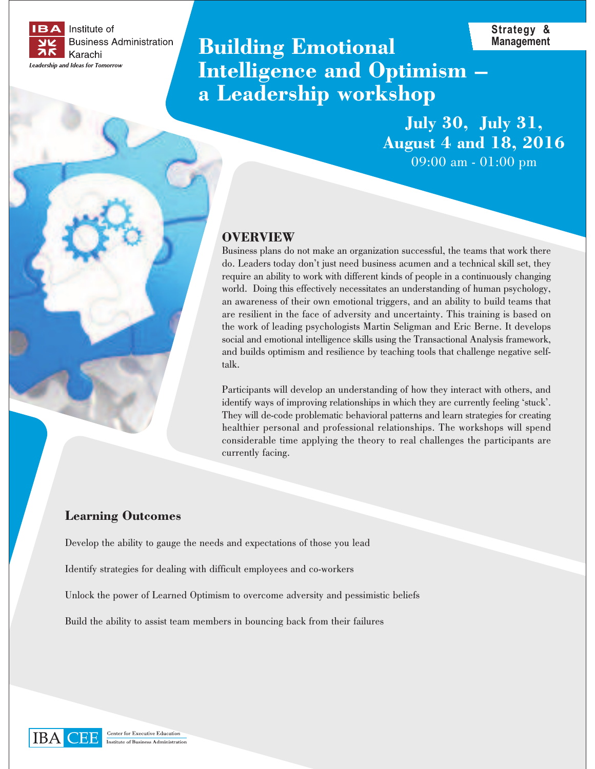

# **Building Emotional Intelligence and Optimism a Leadership workshop**

**July 30, July 31, August 4 and 18, 2016** 09:00 am - 01:00 pm

**Strategy & Management**

### **OVERVIEW**

Business plans do not make an organization successful, the teams that work there do. Leaders today don't just need business acumen and a technical skill set, they require an ability to work with different kinds of people in a continuously changing world. Doing this effectively necessitates an understanding of human psychology, an awareness of their own emotional triggers, and an ability to build teams that are resilient in the face of adversity and uncertainty. This training is based on the work of leading psychologists Martin Seligman and Eric Berne. It develops social and emotional intelligence skills using the Transactional Analysis framework, and builds optimism and resilience by teaching tools that challenge negative selftalk.

Participants will develop an understanding of how they interact with others, and identify ways of improving relationships in which they are currently feeling 'stuck'. They will de-code problematic behavioral patterns and learn strategies for creating healthier personal and professional relationships. The workshops will spend considerable time applying the theory to real challenges the participants are currently facing.

#### **Learning Outcomes**

Develop the ability to gauge the needs and expectations of those you lead

Identify strategies for dealing with difficult employees and co-workers

Unlock the power of Learned Optimism to overcome adversity and pessimistic beliefs

Build the ability to assist team members in bouncing back from their failures